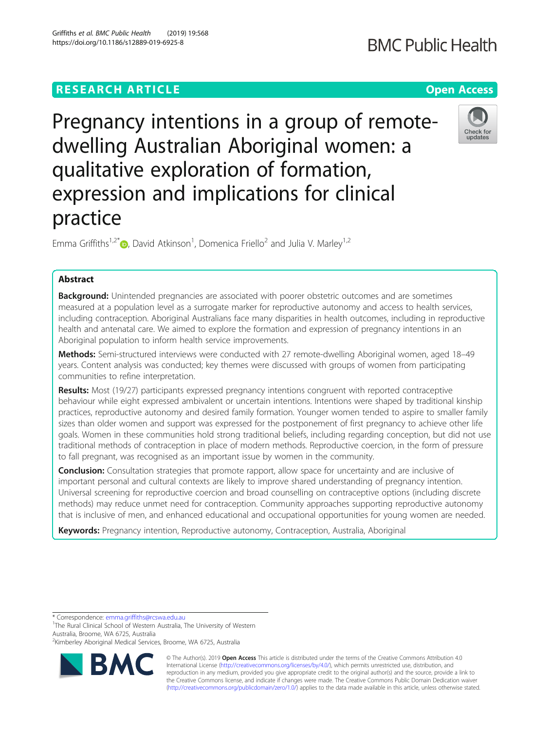# **RESEARCH ARTICLE Example 2018 12:30 THE Open Access**

Pregnancy intentions in a group of remotedwelling Australian Aboriginal women: a qualitative exploration of formation, expression and implications for clinical practice

Emma Griffiths<sup>1[,](http://orcid.org/0000-0001-6799-9451)2\*</sup> (D, David Atkinson<sup>1</sup>, Domenica Friello<sup>2</sup> and Julia V. Marley<sup>1,2</sup>

## Abstract

Background: Unintended pregnancies are associated with poorer obstetric outcomes and are sometimes measured at a population level as a surrogate marker for reproductive autonomy and access to health services, including contraception. Aboriginal Australians face many disparities in health outcomes, including in reproductive health and antenatal care. We aimed to explore the formation and expression of pregnancy intentions in an Aboriginal population to inform health service improvements.

Methods: Semi-structured interviews were conducted with 27 remote-dwelling Aboriginal women, aged 18-49 years. Content analysis was conducted; key themes were discussed with groups of women from participating communities to refine interpretation.

Results: Most (19/27) participants expressed pregnancy intentions congruent with reported contraceptive behaviour while eight expressed ambivalent or uncertain intentions. Intentions were shaped by traditional kinship practices, reproductive autonomy and desired family formation. Younger women tended to aspire to smaller family sizes than older women and support was expressed for the postponement of first pregnancy to achieve other life goals. Women in these communities hold strong traditional beliefs, including regarding conception, but did not use traditional methods of contraception in place of modern methods. Reproductive coercion, in the form of pressure to fall pregnant, was recognised as an important issue by women in the community.

**Conclusion:** Consultation strategies that promote rapport, allow space for uncertainty and are inclusive of important personal and cultural contexts are likely to improve shared understanding of pregnancy intention. Universal screening for reproductive coercion and broad counselling on contraceptive options (including discrete methods) may reduce unmet need for contraception. Community approaches supporting reproductive autonomy that is inclusive of men, and enhanced educational and occupational opportunities for young women are needed.

**Keywords:** Pregnancy intention, Reproductive autonomy, Contraception, Australia, Aboriginal

\* Correspondence: [emma.griffiths@rcswa.edu.au](mailto:emma.griffiths@rcswa.edu.au) <sup>1</sup>

<sup>1</sup>The Rural Clinical School of Western Australia, The University of Western Australia, Broome, WA 6725, Australia

© The Author(s). 2019 **Open Access** This article is distributed under the terms of the Creative Commons Attribution 4.0 International License [\(http://creativecommons.org/licenses/by/4.0/](http://creativecommons.org/licenses/by/4.0/)), which permits unrestricted use, distribution, and reproduction in any medium, provided you give appropriate credit to the original author(s) and the source, provide a link to the Creative Commons license, and indicate if changes were made. The Creative Commons Public Domain Dedication waiver [\(http://creativecommons.org/publicdomain/zero/1.0/](http://creativecommons.org/publicdomain/zero/1.0/)) applies to the data made available in this article, unless otherwise stated.



Check for undates

<sup>&</sup>lt;sup>2</sup>Kimberley Aboriginal Medical Services, Broome, WA 6725, Australia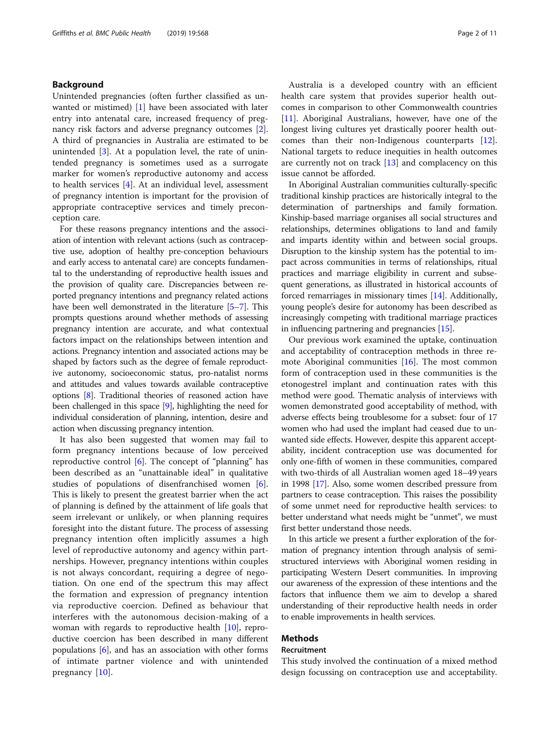## Background

Unintended pregnancies (often further classified as unwanted or mistimed) [[1\]](#page-9-0) have been associated with later entry into antenatal care, increased frequency of pregnancy risk factors and adverse pregnancy outcomes [\[2](#page-9-0)]. A third of pregnancies in Australia are estimated to be unintended [\[3](#page-9-0)]. At a population level, the rate of unintended pregnancy is sometimes used as a surrogate marker for women's reproductive autonomy and access to health services [[4\]](#page-9-0). At an individual level, assessment of pregnancy intention is important for the provision of appropriate contraceptive services and timely preconception care.

For these reasons pregnancy intentions and the association of intention with relevant actions (such as contraceptive use, adoption of healthy pre-conception behaviours and early access to antenatal care) are concepts fundamental to the understanding of reproductive health issues and the provision of quality care. Discrepancies between reported pregnancy intentions and pregnancy related actions have been well demonstrated in the literature [[5](#page-9-0)–[7](#page-9-0)]. This prompts questions around whether methods of assessing pregnancy intention are accurate, and what contextual factors impact on the relationships between intention and actions. Pregnancy intention and associated actions may be shaped by factors such as the degree of female reproductive autonomy, socioeconomic status, pro-natalist norms and attitudes and values towards available contraceptive options [[8](#page-9-0)]. Traditional theories of reasoned action have been challenged in this space [\[9\]](#page-9-0), highlighting the need for individual consideration of planning, intention, desire and action when discussing pregnancy intention.

It has also been suggested that women may fail to form pregnancy intentions because of low perceived reproductive control  $[6]$  $[6]$ . The concept of "planning" has been described as an "unattainable ideal" in qualitative studies of populations of disenfranchised women [\[6](#page-9-0)]. This is likely to present the greatest barrier when the act of planning is defined by the attainment of life goals that seem irrelevant or unlikely, or when planning requires foresight into the distant future. The process of assessing pregnancy intention often implicitly assumes a high level of reproductive autonomy and agency within partnerships. However, pregnancy intentions within couples is not always concordant, requiring a degree of negotiation. On one end of the spectrum this may affect the formation and expression of pregnancy intention via reproductive coercion. Defined as behaviour that interferes with the autonomous decision-making of a woman with regards to reproductive health [\[10\]](#page-9-0), reproductive coercion has been described in many different populations [\[6](#page-9-0)], and has an association with other forms of intimate partner violence and with unintended pregnancy [[10\]](#page-9-0).

Australia is a developed country with an efficient health care system that provides superior health outcomes in comparison to other Commonwealth countries [[11\]](#page-9-0). Aboriginal Australians, however, have one of the longest living cultures yet drastically poorer health outcomes than their non-Indigenous counterparts [\[12](#page-9-0)]. National targets to reduce inequities in health outcomes are currently not on track  $[13]$  $[13]$  and complacency on this issue cannot be afforded.

In Aboriginal Australian communities culturally-specific traditional kinship practices are historically integral to the determination of partnerships and family formation. Kinship-based marriage organises all social structures and relationships, determines obligations to land and family and imparts identity within and between social groups. Disruption to the kinship system has the potential to impact across communities in terms of relationships, ritual practices and marriage eligibility in current and subsequent generations, as illustrated in historical accounts of forced remarriages in missionary times [\[14\]](#page-9-0). Additionally, young people's desire for autonomy has been described as increasingly competing with traditional marriage practices in influencing partnering and pregnancies [\[15\]](#page-9-0).

Our previous work examined the uptake, continuation and acceptability of contraception methods in three remote Aboriginal communities [[16\]](#page-9-0). The most common form of contraception used in these communities is the etonogestrel implant and continuation rates with this method were good. Thematic analysis of interviews with women demonstrated good acceptability of method, with adverse effects being troublesome for a subset: four of 17 women who had used the implant had ceased due to unwanted side effects. However, despite this apparent acceptability, incident contraception use was documented for only one-fifth of women in these communities, compared with two-thirds of all Australian women aged 18–49 years in 1998 [[17](#page-9-0)]. Also, some women described pressure from partners to cease contraception. This raises the possibility of some unmet need for reproductive health services: to better understand what needs might be "unmet", we must first better understand those needs.

In this article we present a further exploration of the formation of pregnancy intention through analysis of semistructured interviews with Aboriginal women residing in participating Western Desert communities. In improving our awareness of the expression of these intentions and the factors that influence them we aim to develop a shared understanding of their reproductive health needs in order to enable improvements in health services.

## Methods

## Recruitment

This study involved the continuation of a mixed method design focussing on contraception use and acceptability.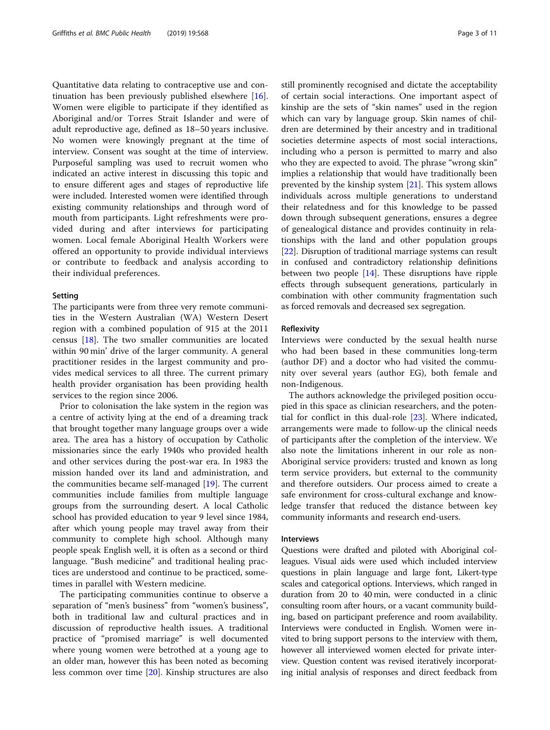Quantitative data relating to contraceptive use and continuation has been previously published elsewhere [\[16](#page-9-0)]. Women were eligible to participate if they identified as Aboriginal and/or Torres Strait Islander and were of adult reproductive age, defined as 18–50 years inclusive. No women were knowingly pregnant at the time of interview. Consent was sought at the time of interview. Purposeful sampling was used to recruit women who indicated an active interest in discussing this topic and to ensure different ages and stages of reproductive life were included. Interested women were identified through existing community relationships and through word of mouth from participants. Light refreshments were provided during and after interviews for participating women. Local female Aboriginal Health Workers were offered an opportunity to provide individual interviews or contribute to feedback and analysis according to their individual preferences.

### Setting

The participants were from three very remote communities in the Western Australian (WA) Western Desert region with a combined population of 915 at the 2011 census [[18](#page-9-0)]. The two smaller communities are located within 90 min' drive of the larger community. A general practitioner resides in the largest community and provides medical services to all three. The current primary health provider organisation has been providing health services to the region since 2006.

Prior to colonisation the lake system in the region was a centre of activity lying at the end of a dreaming track that brought together many language groups over a wide area. The area has a history of occupation by Catholic missionaries since the early 1940s who provided health and other services during the post-war era. In 1983 the mission handed over its land and administration, and the communities became self-managed [[19\]](#page-9-0). The current communities include families from multiple language groups from the surrounding desert. A local Catholic school has provided education to year 9 level since 1984, after which young people may travel away from their community to complete high school. Although many people speak English well, it is often as a second or third language. "Bush medicine" and traditional healing practices are understood and continue to be practiced, sometimes in parallel with Western medicine.

The participating communities continue to observe a separation of "men's business" from "women's business", both in traditional law and cultural practices and in discussion of reproductive health issues. A traditional practice of "promised marriage" is well documented where young women were betrothed at a young age to an older man, however this has been noted as becoming less common over time [[20\]](#page-9-0). Kinship structures are also still prominently recognised and dictate the acceptability of certain social interactions. One important aspect of kinship are the sets of "skin names" used in the region which can vary by language group. Skin names of children are determined by their ancestry and in traditional societies determine aspects of most social interactions, including who a person is permitted to marry and also who they are expected to avoid. The phrase "wrong skin" implies a relationship that would have traditionally been prevented by the kinship system [\[21](#page-9-0)]. This system allows individuals across multiple generations to understand their relatedness and for this knowledge to be passed down through subsequent generations, ensures a degree of genealogical distance and provides continuity in relationships with the land and other population groups [[22\]](#page-9-0). Disruption of traditional marriage systems can result in confused and contradictory relationship definitions between two people [[14](#page-9-0)]. These disruptions have ripple effects through subsequent generations, particularly in combination with other community fragmentation such as forced removals and decreased sex segregation.

#### Reflexivity

Interviews were conducted by the sexual health nurse who had been based in these communities long-term (author DF) and a doctor who had visited the community over several years (author EG), both female and non-Indigenous.

The authors acknowledge the privileged position occupied in this space as clinician researchers, and the potential for conflict in this dual-role [[23\]](#page-9-0). Where indicated, arrangements were made to follow-up the clinical needs of participants after the completion of the interview. We also note the limitations inherent in our role as non-Aboriginal service providers: trusted and known as long term service providers, but external to the community and therefore outsiders. Our process aimed to create a safe environment for cross-cultural exchange and knowledge transfer that reduced the distance between key community informants and research end-users.

#### Interviews

Questions were drafted and piloted with Aboriginal colleagues. Visual aids were used which included interview questions in plain language and large font, Likert-type scales and categorical options. Interviews, which ranged in duration from 20 to 40 min, were conducted in a clinic consulting room after hours, or a vacant community building, based on participant preference and room availability. Interviews were conducted in English. Women were invited to bring support persons to the interview with them, however all interviewed women elected for private interview. Question content was revised iteratively incorporating initial analysis of responses and direct feedback from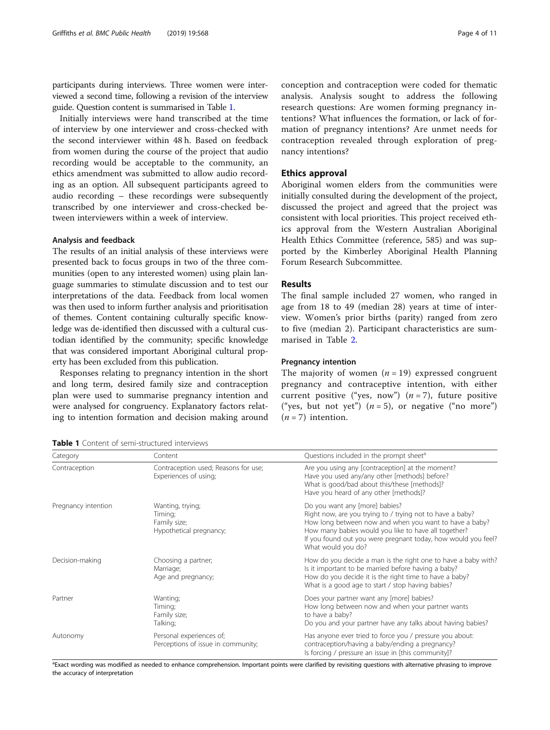participants during interviews. Three women were interviewed a second time, following a revision of the interview guide. Question content is summarised in Table 1.

Initially interviews were hand transcribed at the time of interview by one interviewer and cross-checked with the second interviewer within 48 h. Based on feedback from women during the course of the project that audio recording would be acceptable to the community, an ethics amendment was submitted to allow audio recording as an option. All subsequent participants agreed to audio recording – these recordings were subsequently transcribed by one interviewer and cross-checked between interviewers within a week of interview.

#### Analysis and feedback

The results of an initial analysis of these interviews were presented back to focus groups in two of the three communities (open to any interested women) using plain language summaries to stimulate discussion and to test our interpretations of the data. Feedback from local women was then used to inform further analysis and prioritisation of themes. Content containing culturally specific knowledge was de-identified then discussed with a cultural custodian identified by the community; specific knowledge that was considered important Aboriginal cultural property has been excluded from this publication.

Responses relating to pregnancy intention in the short and long term, desired family size and contraception plan were used to summarise pregnancy intention and were analysed for congruency. Explanatory factors relating to intention formation and decision making around

| <b>Table 1</b> Content of semi-structured interviews |
|------------------------------------------------------|
|------------------------------------------------------|

conception and contraception were coded for thematic analysis. Analysis sought to address the following research questions: Are women forming pregnancy intentions? What influences the formation, or lack of formation of pregnancy intentions? Are unmet needs for contraception revealed through exploration of pregnancy intentions?

## Ethics approval

Aboriginal women elders from the communities were initially consulted during the development of the project, discussed the project and agreed that the project was consistent with local priorities. This project received ethics approval from the Western Australian Aboriginal Health Ethics Committee (reference, 585) and was supported by the Kimberley Aboriginal Health Planning Forum Research Subcommittee.

## Results

The final sample included 27 women, who ranged in age from 18 to 49 (median 28) years at time of interview. Women's prior births (parity) ranged from zero to five (median 2). Participant characteristics are summarised in Table [2](#page-4-0).

#### Pregnancy intention

The majority of women  $(n = 19)$  expressed congruent pregnancy and contraceptive intention, with either current positive ("yes, now")  $(n=7)$ , future positive ("yes, but not yet")  $(n = 5)$ , or negative ("no more")  $(n = 7)$  intention.

| Category            | Content                                                                                                                                                                                                                                                      | Questions included in the prompt sheet <sup>a</sup>                                                                                                                                                                                                                                                  |  |
|---------------------|--------------------------------------------------------------------------------------------------------------------------------------------------------------------------------------------------------------------------------------------------------------|------------------------------------------------------------------------------------------------------------------------------------------------------------------------------------------------------------------------------------------------------------------------------------------------------|--|
| Contraception       | Contraception used; Reasons for use;<br>Are you using any [contraception] at the moment?<br>Have you used any/any other [methods] before?<br>Experiences of using;<br>What is good/bad about this/these [methods]?<br>Have you heard of any other [methods]? |                                                                                                                                                                                                                                                                                                      |  |
| Pregnancy intention | Wanting, trying;<br>Timing;<br>Family size;<br>Hypothetical pregnancy;                                                                                                                                                                                       | Do you want any [more] babies?<br>Right now, are you trying to / trying not to have a baby?<br>How long between now and when you want to have a baby?<br>How many babies would you like to have all together?<br>If you found out you were pregnant today, how would you feel?<br>What would you do? |  |
| Decision-making     | Choosing a partner;<br>Marriage;<br>Age and pregnancy;                                                                                                                                                                                                       | How do you decide a man is the right one to have a baby with?<br>Is it important to be married before having a baby?<br>How do you decide it is the right time to have a baby?<br>What is a good age to start / stop having babies?                                                                  |  |
| Partner             | Wanting;<br>Timing;<br>Family size;<br>Talking;                                                                                                                                                                                                              | Does your partner want any [more] babies?<br>How long between now and when your partner wants<br>to have a baby?<br>Do you and your partner have any talks about having babies?                                                                                                                      |  |
| Autonomy            | Personal experiences of;<br>Perceptions of issue in community;                                                                                                                                                                                               | Has anyone ever tried to force you / pressure you about:<br>contraception/having a baby/ending a pregnancy?<br>Is forcing / pressure an issue in [this community]?                                                                                                                                   |  |

<sup>a</sup>Exact wording was modified as needed to enhance comprehension. Important points were clarified by revisiting questions with alternative phrasing to improve the accuracy of interpretation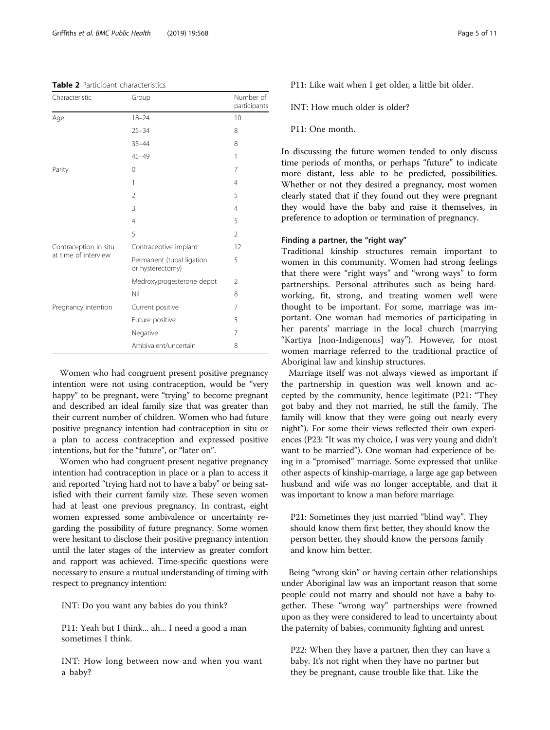#### <span id="page-4-0"></span>Table 2 Participant characteristics

| Characteristic                                | Group                                         | Number of<br>participants |
|-----------------------------------------------|-----------------------------------------------|---------------------------|
| Age                                           | $18 - 24$                                     | 10                        |
|                                               | $25 - 34$                                     | 8                         |
|                                               | $35 - 44$                                     | 8                         |
|                                               | $45 - 49$                                     | 1                         |
| Parity                                        | $\mathbf 0$                                   | 7                         |
|                                               | 1                                             | $\overline{4}$            |
|                                               | $\overline{2}$                                | 5                         |
|                                               | 3                                             | $\overline{4}$            |
|                                               | $\overline{4}$                                | 5                         |
|                                               | 5                                             | $\overline{2}$            |
| Contraception in situ<br>at time of interview | Contraceptive implant                         | 12                        |
|                                               | Permanent (tubal ligation<br>or hysterectomy) | 5                         |
|                                               | Medroxyprogesterone depot                     | 2                         |
|                                               | Nil                                           | 8                         |
| Pregnancy intention                           | Current positive                              | 7                         |
|                                               | Future positive                               | 5                         |
|                                               | Negative                                      | 7                         |
|                                               | Ambivalent/uncertain                          | 8                         |

Women who had congruent present positive pregnancy intention were not using contraception, would be "very happy" to be pregnant, were "trying" to become pregnant and described an ideal family size that was greater than their current number of children. Women who had future positive pregnancy intention had contraception in situ or a plan to access contraception and expressed positive intentions, but for the "future", or "later on".

Women who had congruent present negative pregnancy intention had contraception in place or a plan to access it and reported "trying hard not to have a baby" or being satisfied with their current family size. These seven women had at least one previous pregnancy. In contrast, eight women expressed some ambivalence or uncertainty regarding the possibility of future pregnancy. Some women were hesitant to disclose their positive pregnancy intention until the later stages of the interview as greater comfort and rapport was achieved. Time-specific questions were necessary to ensure a mutual understanding of timing with respect to pregnancy intention:

INT: Do you want any babies do you think?

P11: Yeah but I think... ah... I need a good a man sometimes I think.

INT: How long between now and when you want a baby?

P11: Like wait when I get older, a little bit older.

INT: How much older is older?

P11: One month.

In discussing the future women tended to only discuss time periods of months, or perhaps "future" to indicate more distant, less able to be predicted, possibilities. Whether or not they desired a pregnancy, most women clearly stated that if they found out they were pregnant they would have the baby and raise it themselves, in preference to adoption or termination of pregnancy.

## Finding a partner, the "right way"

Traditional kinship structures remain important to women in this community. Women had strong feelings that there were "right ways" and "wrong ways" to form partnerships. Personal attributes such as being hardworking, fit, strong, and treating women well were thought to be important. For some, marriage was important. One woman had memories of participating in her parents' marriage in the local church (marrying "Kartiya [non-Indigenous] way"). However, for most women marriage referred to the traditional practice of Aboriginal law and kinship structures.

Marriage itself was not always viewed as important if the partnership in question was well known and accepted by the community, hence legitimate (P21: "They got baby and they not married, he still the family. The family will know that they were going out nearly every night"). For some their views reflected their own experiences (P23: "It was my choice, I was very young and didn't want to be married"). One woman had experience of being in a "promised" marriage. Some expressed that unlike other aspects of kinship-marriage, a large age gap between husband and wife was no longer acceptable, and that it was important to know a man before marriage.

P21: Sometimes they just married "blind way". They should know them first better, they should know the person better, they should know the persons family and know him better.

Being "wrong skin" or having certain other relationships under Aboriginal law was an important reason that some people could not marry and should not have a baby together. These "wrong way" partnerships were frowned upon as they were considered to lead to uncertainty about the paternity of babies, community fighting and unrest.

P22: When they have a partner, then they can have a baby. It's not right when they have no partner but they be pregnant, cause trouble like that. Like the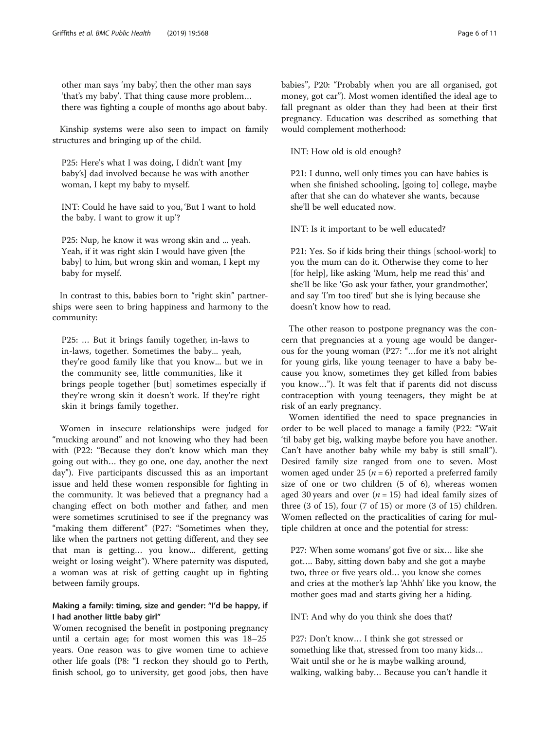other man says 'my baby', then the other man says 'that's my baby'. That thing cause more problem… there was fighting a couple of months ago about baby.

Kinship systems were also seen to impact on family structures and bringing up of the child.

P25: Here's what I was doing, I didn't want [my baby's] dad involved because he was with another woman, I kept my baby to myself.

INT: Could he have said to you, 'But I want to hold the baby. I want to grow it up'?

P25: Nup, he know it was wrong skin and ... yeah. Yeah, if it was right skin I would have given [the baby] to him, but wrong skin and woman, I kept my baby for myself.

In contrast to this, babies born to "right skin" partnerships were seen to bring happiness and harmony to the community:

P25: … But it brings family together, in-laws to in-laws, together. Sometimes the baby... yeah, they're good family like that you know... but we in the community see, little communities, like it brings people together [but] sometimes especially if they're wrong skin it doesn't work. If they're right skin it brings family together.

Women in insecure relationships were judged for "mucking around" and not knowing who they had been with (P22: "Because they don't know which man they going out with… they go one, one day, another the next day"). Five participants discussed this as an important issue and held these women responsible for fighting in the community. It was believed that a pregnancy had a changing effect on both mother and father, and men were sometimes scrutinised to see if the pregnancy was "making them different" (P27: "Sometimes when they, like when the partners not getting different, and they see that man is getting… you know... different, getting weight or losing weight"). Where paternity was disputed, a woman was at risk of getting caught up in fighting between family groups.

## Making a family: timing, size and gender: "I'd be happy, if I had another little baby girl"

Women recognised the benefit in postponing pregnancy until a certain age; for most women this was 18–25 years. One reason was to give women time to achieve other life goals (P8: "I reckon they should go to Perth, finish school, go to university, get good jobs, then have

babies", P20: "Probably when you are all organised, got money, got car"). Most women identified the ideal age to fall pregnant as older than they had been at their first pregnancy. Education was described as something that would complement motherhood:

INT: How old is old enough?

P21: I dunno, well only times you can have babies is when she finished schooling, [going to] college, maybe after that she can do whatever she wants, because she'll be well educated now.

INT: Is it important to be well educated?

P21: Yes. So if kids bring their things [school-work] to you the mum can do it. Otherwise they come to her [for help], like asking 'Mum, help me read this' and she'll be like 'Go ask your father, your grandmother', and say 'I'm too tired' but she is lying because she doesn't know how to read.

The other reason to postpone pregnancy was the concern that pregnancies at a young age would be dangerous for the young woman (P27: "…for me it's not alright for young girls, like young teenager to have a baby because you know, sometimes they get killed from babies you know…"). It was felt that if parents did not discuss contraception with young teenagers, they might be at risk of an early pregnancy.

Women identified the need to space pregnancies in order to be well placed to manage a family (P22: "Wait 'til baby get big, walking maybe before you have another. Can't have another baby while my baby is still small"). Desired family size ranged from one to seven. Most women aged under 25 ( $n = 6$ ) reported a preferred family size of one or two children (5 of 6), whereas women aged 30 years and over  $(n = 15)$  had ideal family sizes of three (3 of 15), four (7 of 15) or more (3 of 15) children. Women reflected on the practicalities of caring for multiple children at once and the potential for stress:

P27: When some womans' got five or six… like she got…. Baby, sitting down baby and she got a maybe two, three or five years old… you know she comes and cries at the mother's lap 'Ahhh' like you know, the mother goes mad and starts giving her a hiding.

INT: And why do you think she does that?

P27: Don't know… I think she got stressed or something like that, stressed from too many kids… Wait until she or he is maybe walking around, walking, walking baby… Because you can't handle it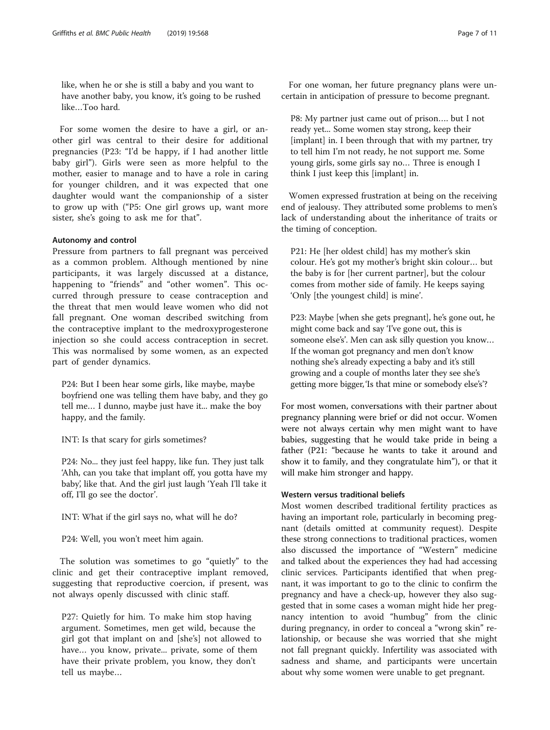like, when he or she is still a baby and you want to have another baby, you know, it's going to be rushed like…Too hard.

For some women the desire to have a girl, or another girl was central to their desire for additional pregnancies (P23: "I'd be happy, if I had another little baby girl"). Girls were seen as more helpful to the mother, easier to manage and to have a role in caring for younger children, and it was expected that one daughter would want the companionship of a sister to grow up with ("P5: One girl grows up, want more sister, she's going to ask me for that".

#### Autonomy and control

Pressure from partners to fall pregnant was perceived as a common problem. Although mentioned by nine participants, it was largely discussed at a distance, happening to "friends" and "other women". This occurred through pressure to cease contraception and the threat that men would leave women who did not fall pregnant. One woman described switching from the contraceptive implant to the medroxyprogesterone injection so she could access contraception in secret. This was normalised by some women, as an expected part of gender dynamics.

P24: But I been hear some girls, like maybe, maybe boyfriend one was telling them have baby, and they go tell me… I dunno, maybe just have it... make the boy happy, and the family.

INT: Is that scary for girls sometimes?

P24: No... they just feel happy, like fun. They just talk 'Ahh, can you take that implant off, you gotta have my baby', like that. And the girl just laugh 'Yeah I'll take it off, I'll go see the doctor'.

INT: What if the girl says no, what will he do?

P24: Well, you won't meet him again.

The solution was sometimes to go "quietly" to the clinic and get their contraceptive implant removed, suggesting that reproductive coercion, if present, was not always openly discussed with clinic staff.

P27: Quietly for him. To make him stop having argument. Sometimes, men get wild, because the girl got that implant on and [she's] not allowed to have… you know, private... private, some of them have their private problem, you know, they don't tell us maybe…

For one woman, her future pregnancy plans were uncertain in anticipation of pressure to become pregnant.

P8: My partner just came out of prison…. but I not ready yet... Some women stay strong, keep their [implant] in. I been through that with my partner, try to tell him I'm not ready, he not support me. Some young girls, some girls say no… Three is enough I think I just keep this [implant] in.

Women expressed frustration at being on the receiving end of jealousy. They attributed some problems to men's lack of understanding about the inheritance of traits or the timing of conception.

P21: He [her oldest child] has my mother's skin colour. He's got my mother's bright skin colour… but the baby is for [her current partner], but the colour comes from mother side of family. He keeps saying 'Only [the youngest child] is mine'.

P23: Maybe [when she gets pregnant], he's gone out, he might come back and say 'I've gone out, this is someone else's'. Men can ask silly question you know… If the woman got pregnancy and men don't know nothing she's already expecting a baby and it's still growing and a couple of months later they see she's getting more bigger, 'Is that mine or somebody else's'?

For most women, conversations with their partner about pregnancy planning were brief or did not occur. Women were not always certain why men might want to have babies, suggesting that he would take pride in being a father (P21: "because he wants to take it around and show it to family, and they congratulate him"), or that it will make him stronger and happy.

## Western versus traditional beliefs

Most women described traditional fertility practices as having an important role, particularly in becoming pregnant (details omitted at community request). Despite these strong connections to traditional practices, women also discussed the importance of "Western" medicine and talked about the experiences they had had accessing clinic services. Participants identified that when pregnant, it was important to go to the clinic to confirm the pregnancy and have a check-up, however they also suggested that in some cases a woman might hide her pregnancy intention to avoid "humbug" from the clinic during pregnancy, in order to conceal a "wrong skin" relationship, or because she was worried that she might not fall pregnant quickly. Infertility was associated with sadness and shame, and participants were uncertain about why some women were unable to get pregnant.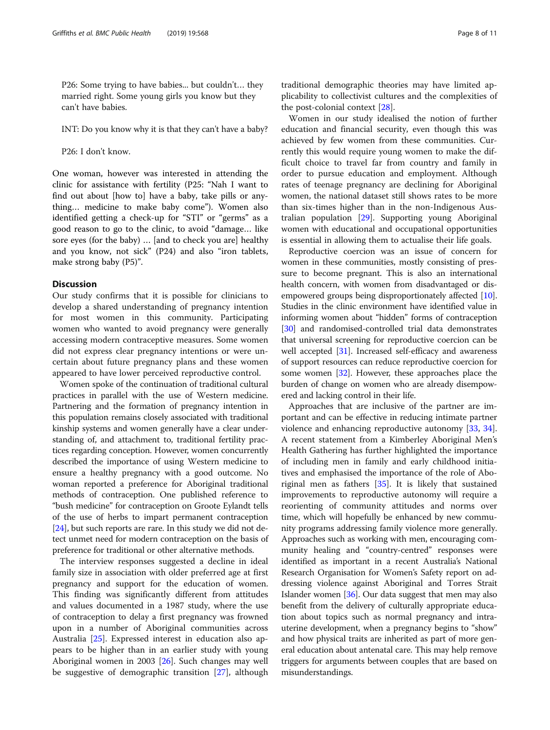P26: Some trying to have babies... but couldn't… they married right. Some young girls you know but they can't have babies.

INT: Do you know why it is that they can't have a baby?

P26: I don't know.

One woman, however was interested in attending the clinic for assistance with fertility (P25: "Nah I want to find out about [how to] have a baby, take pills or anything… medicine to make baby come"). Women also identified getting a check-up for "STI" or "germs" as a good reason to go to the clinic, to avoid "damage… like sore eyes (for the baby) … [and to check you are] healthy and you know, not sick" (P24) and also "iron tablets, make strong baby (P5)".

#### **Discussion**

Our study confirms that it is possible for clinicians to develop a shared understanding of pregnancy intention for most women in this community. Participating women who wanted to avoid pregnancy were generally accessing modern contraceptive measures. Some women did not express clear pregnancy intentions or were uncertain about future pregnancy plans and these women appeared to have lower perceived reproductive control.

Women spoke of the continuation of traditional cultural practices in parallel with the use of Western medicine. Partnering and the formation of pregnancy intention in this population remains closely associated with traditional kinship systems and women generally have a clear understanding of, and attachment to, traditional fertility practices regarding conception. However, women concurrently described the importance of using Western medicine to ensure a healthy pregnancy with a good outcome. No woman reported a preference for Aboriginal traditional methods of contraception. One published reference to "bush medicine" for contraception on Groote Eylandt tells of the use of herbs to impart permanent contraception [[24](#page-9-0)], but such reports are rare. In this study we did not detect unmet need for modern contraception on the basis of preference for traditional or other alternative methods.

The interview responses suggested a decline in ideal family size in association with older preferred age at first pregnancy and support for the education of women. This finding was significantly different from attitudes and values documented in a 1987 study, where the use of contraception to delay a first pregnancy was frowned upon in a number of Aboriginal communities across Australia [\[25\]](#page-9-0). Expressed interest in education also appears to be higher than in an earlier study with young Aboriginal women in 2003 [\[26\]](#page-9-0). Such changes may well be suggestive of demographic transition [[27\]](#page-9-0), although traditional demographic theories may have limited applicability to collectivist cultures and the complexities of the post-colonial context [[28\]](#page-9-0).

Women in our study idealised the notion of further education and financial security, even though this was achieved by few women from these communities. Currently this would require young women to make the difficult choice to travel far from country and family in order to pursue education and employment. Although rates of teenage pregnancy are declining for Aboriginal women, the national dataset still shows rates to be more than six-times higher than in the non-Indigenous Australian population [[29\]](#page-9-0). Supporting young Aboriginal women with educational and occupational opportunities is essential in allowing them to actualise their life goals.

Reproductive coercion was an issue of concern for women in these communities, mostly consisting of pressure to become pregnant. This is also an international health concern, with women from disadvantaged or disempowered groups being disproportionately affected [[10](#page-9-0)]. Studies in the clinic environment have identified value in informing women about "hidden" forms of contraception [[30](#page-9-0)] and randomised-controlled trial data demonstrates that universal screening for reproductive coercion can be well accepted [\[31\]](#page-9-0). Increased self-efficacy and awareness of support resources can reduce reproductive coercion for some women [[32](#page-9-0)]. However, these approaches place the burden of change on women who are already disempowered and lacking control in their life.

Approaches that are inclusive of the partner are important and can be effective in reducing intimate partner violence and enhancing reproductive autonomy [\[33,](#page-9-0) [34](#page-9-0)]. A recent statement from a Kimberley Aboriginal Men's Health Gathering has further highlighted the importance of including men in family and early childhood initiatives and emphasised the importance of the role of Aboriginal men as fathers [[35\]](#page-9-0). It is likely that sustained improvements to reproductive autonomy will require a reorienting of community attitudes and norms over time, which will hopefully be enhanced by new community programs addressing family violence more generally. Approaches such as working with men, encouraging community healing and "country-centred" responses were identified as important in a recent Australia's National Research Organisation for Women's Safety report on addressing violence against Aboriginal and Torres Strait Islander women [\[36\]](#page-10-0). Our data suggest that men may also benefit from the delivery of culturally appropriate education about topics such as normal pregnancy and intrauterine development, when a pregnancy begins to "show" and how physical traits are inherited as part of more general education about antenatal care. This may help remove triggers for arguments between couples that are based on misunderstandings.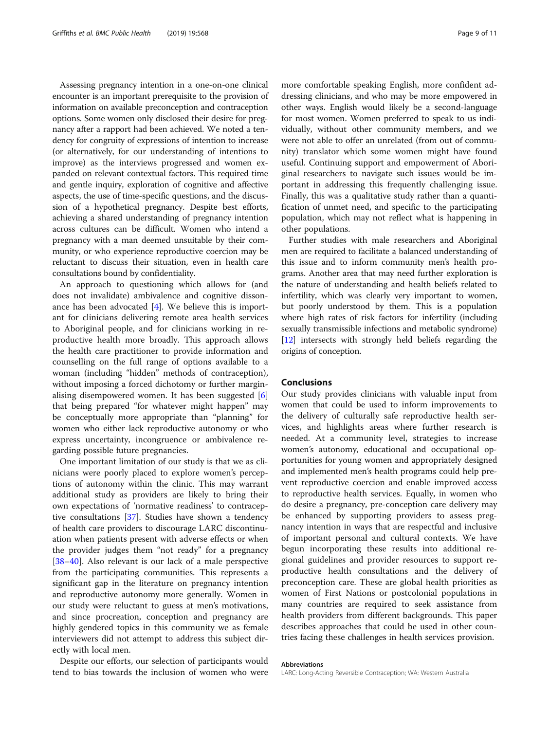Assessing pregnancy intention in a one-on-one clinical encounter is an important prerequisite to the provision of information on available preconception and contraception options. Some women only disclosed their desire for pregnancy after a rapport had been achieved. We noted a tendency for congruity of expressions of intention to increase (or alternatively, for our understanding of intentions to improve) as the interviews progressed and women expanded on relevant contextual factors. This required time and gentle inquiry, exploration of cognitive and affective aspects, the use of time-specific questions, and the discussion of a hypothetical pregnancy. Despite best efforts, achieving a shared understanding of pregnancy intention across cultures can be difficult. Women who intend a pregnancy with a man deemed unsuitable by their community, or who experience reproductive coercion may be reluctant to discuss their situation, even in health care consultations bound by confidentiality.

An approach to questioning which allows for (and does not invalidate) ambivalence and cognitive dissonance has been advocated [[4\]](#page-9-0). We believe this is important for clinicians delivering remote area health services to Aboriginal people, and for clinicians working in reproductive health more broadly. This approach allows the health care practitioner to provide information and counselling on the full range of options available to a woman (including "hidden" methods of contraception), without imposing a forced dichotomy or further marginalising disempowered women. It has been suggested [\[6](#page-9-0)] that being prepared "for whatever might happen" may be conceptually more appropriate than "planning" for women who either lack reproductive autonomy or who express uncertainty, incongruence or ambivalence regarding possible future pregnancies.

One important limitation of our study is that we as clinicians were poorly placed to explore women's perceptions of autonomy within the clinic. This may warrant additional study as providers are likely to bring their own expectations of 'normative readiness' to contraceptive consultations [[37](#page-10-0)]. Studies have shown a tendency of health care providers to discourage LARC discontinuation when patients present with adverse effects or when the provider judges them "not ready" for a pregnancy [[38](#page-10-0)–[40](#page-10-0)]. Also relevant is our lack of a male perspective from the participating communities. This represents a significant gap in the literature on pregnancy intention and reproductive autonomy more generally. Women in our study were reluctant to guess at men's motivations, and since procreation, conception and pregnancy are highly gendered topics in this community we as female interviewers did not attempt to address this subject directly with local men.

Despite our efforts, our selection of participants would tend to bias towards the inclusion of women who were more comfortable speaking English, more confident addressing clinicians, and who may be more empowered in other ways. English would likely be a second-language for most women. Women preferred to speak to us individually, without other community members, and we were not able to offer an unrelated (from out of community) translator which some women might have found useful. Continuing support and empowerment of Aboriginal researchers to navigate such issues would be important in addressing this frequently challenging issue. Finally, this was a qualitative study rather than a quantification of unmet need, and specific to the participating population, which may not reflect what is happening in other populations.

Further studies with male researchers and Aboriginal men are required to facilitate a balanced understanding of this issue and to inform community men's health programs. Another area that may need further exploration is the nature of understanding and health beliefs related to infertility, which was clearly very important to women, but poorly understood by them. This is a population where high rates of risk factors for infertility (including sexually transmissible infections and metabolic syndrome) [[12](#page-9-0)] intersects with strongly held beliefs regarding the origins of conception.

## Conclusions

Our study provides clinicians with valuable input from women that could be used to inform improvements to the delivery of culturally safe reproductive health services, and highlights areas where further research is needed. At a community level, strategies to increase women's autonomy, educational and occupational opportunities for young women and appropriately designed and implemented men's health programs could help prevent reproductive coercion and enable improved access to reproductive health services. Equally, in women who do desire a pregnancy, pre-conception care delivery may be enhanced by supporting providers to assess pregnancy intention in ways that are respectful and inclusive of important personal and cultural contexts. We have begun incorporating these results into additional regional guidelines and provider resources to support reproductive health consultations and the delivery of preconception care. These are global health priorities as women of First Nations or postcolonial populations in many countries are required to seek assistance from health providers from different backgrounds. This paper describes approaches that could be used in other countries facing these challenges in health services provision.

#### Abbreviations

LARC: Long-Acting Reversible Contraception; WA: Western Australia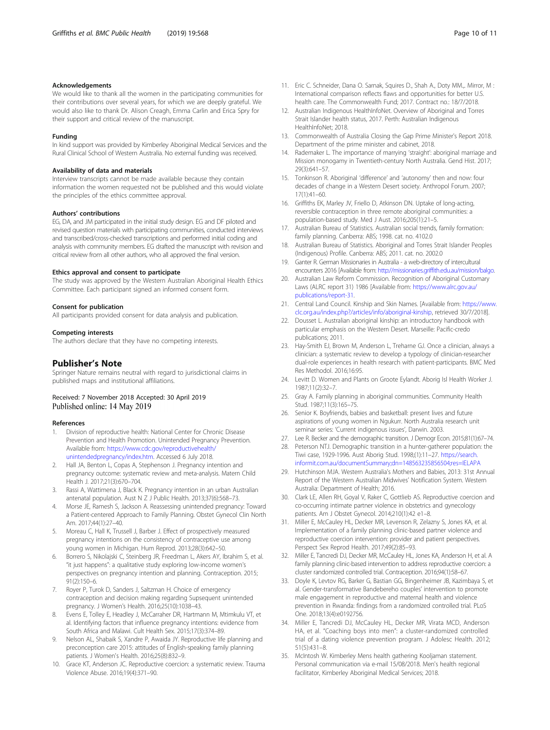#### <span id="page-9-0"></span>Acknowledgements

We would like to thank all the women in the participating communities for their contributions over several years, for which we are deeply grateful. We would also like to thank Dr. Alison Creagh, Emma Carlin and Erica Spry for their support and critical review of the manuscript.

#### Funding

In kind support was provided by Kimberley Aboriginal Medical Services and the Rural Clinical School of Western Australia. No external funding was received.

#### Availability of data and materials

Interview transcripts cannot be made available because they contain information the women requested not be published and this would violate the principles of the ethics committee approval.

#### Authors' contributions

EG, DA, and JM participated in the initial study design. EG and DF piloted and revised question materials with participating communities, conducted interviews and transcribed/cross-checked transcriptions and performed initial coding and analysis with community members. EG drafted the manuscript with revision and critical review from all other authors, who all approved the final version.

#### Ethics approval and consent to participate

The study was approved by the Western Australian Aboriginal Health Ethics Committee. Each participant signed an informed consent form.

#### Consent for publication

All participants provided consent for data analysis and publication.

## Competing interests

The authors declare that they have no competing interests.

#### Publisher's Note

Springer Nature remains neutral with regard to jurisdictional claims in published maps and institutional affiliations.

### Received: 7 November 2018 Accepted: 30 April 2019 Published online: 14 May 2019

#### References

- 1. Division of reproductive health: National Center for Chronic Disease Prevention and Health Promotion. Unintended Pregnancy Prevention. Available from: [https://www.cdc.gov/reproductivehealth/](https://www.cdc.gov/reproductivehealth/unintendedpregnancy/index.htm) [unintendedpregnancy/index.htm](https://www.cdc.gov/reproductivehealth/unintendedpregnancy/index.htm). Accessed 6 July 2018.
- 2. Hall JA, Benton L, Copas A, Stephenson J. Pregnancy intention and pregnancy outcome: systematic review and meta-analysis. Matern Child Health J. 2017;21(3):670–704.
- 3. Rassi A, Wattimena J, Black K. Pregnancy intention in an urban Australian antenatal population. Aust N Z J Public Health. 2013;37(6):568–73.
- 4. Morse JE, Ramesh S, Jackson A. Reassessing unintended pregnancy: Toward a Patient-centered Approach to Family Planning. Obstet Gynecol Clin North Am. 2017;44(1):27–40.
- 5. Moreau C, Hall K, Trussell J, Barber J. Effect of prospectively measured pregnancy intentions on the consistency of contraceptive use among young women in Michigan. Hum Reprod. 2013;28(3):642–50.
- 6. Borrero S, Nikolajski C, Steinberg JR, Freedman L, Akers AY, Ibrahim S, et al. "it just happens": a qualitative study exploring low-income women's perspectives on pregnancy intention and planning. Contraception. 2015; 91(2):150–6.
- 7. Royer P, Turok D, Sanders J, Saltzman H. Choice of emergency contraception and decision making regarding Supsequent unintended pregnancy. J Women's Health. 2016;25(10):1038–43.
- 8. Evens E, Tolley E, Headley J, McCarraher DR, Hartmann M, Mtimkulu VT, et al. Identifying factors that influence pregnancy intentions: evidence from South Africa and Malawi. Cult Health Sex. 2015;17(3):374–89.
- Nelson AL, Shabaik S, Xandre P, Awaida JY. Reproductive life planning and preconception care 2015: attitudes of English-speaking family planning patients. J Women's Health. 2016;25(8):832–9.
- 10. Grace KT, Anderson JC. Reproductive coercion: a systematic review. Trauma Violence Abuse. 2016;19(4):371–90.
- 11. Eric C. Schneider, Dana O. Sarnak, Squires D., Shah A., Doty MM.,. Mirror, M : International comparison reflects flaws and opportunities for better U.S. health care. The Commonwealth Fund; 2017. Contract no.: 18/7/2018.
- 12. Australian Indigenous HealthInfoNet. Overview of Aboriginal and Torres Strait Islander health status, 2017. Perth: Australian Indigenous HealthInfoNet: 2018.
- 13. Commonwealth of Australia Closing the Gap Prime Minister's Report 2018. Department of the prime minister and cabinet, 2018.
- 14. Rademaker L. The importance of marrying 'straight': aboriginal marriage and Mission monogamy in Twentieth-century North Australia. Gend Hist. 2017; 29(3):641–57.
- 15. Tonkinson R. Aboriginal 'difference' and 'autonomy' then and now: four decades of change in a Western Desert society. Anthropol Forum. 2007; 17(1):41–60.
- 16. Griffiths EK, Marley JV, Friello D, Atkinson DN. Uptake of long-acting, reversible contraception in three remote aboriginal communities: a population-based study. Med J Aust. 2016;205(1):21–5.
- 17. Australian Bureau of Statistics. Australian social trends, family formation: family planning. Canberra: ABS; 1998. cat. no. 4102.0
- 18. Australian Bureau of Statistics. Aboriginal and Torres Strait Islander Peoples (Indigenous) Profile. Canberra: ABS; 2011. cat. no. 2002.0
- 19. Ganter R. German Missionaries in Australia a web-directory of intercultural encounters 2016 [Available from: [http://missionaries.griffith.edu.au/mission/balgo.](http://missionaries.griffith.edu.au/mission/balgo)
- 20. Australian Law Reform Commission. Recognition of Aboriginal Customary Laws (ALRC report 31) 1986 [Available from: [https://www.alrc.gov.au/](https://www.alrc.gov.au/publications/report-31) [publications/report-31.](https://www.alrc.gov.au/publications/report-31)
- 21. Central Land Council. Kinship and Skin Names. [Available from: [https://www.](https://www.clc.org.au/index.php?/articles/info/aboriginal-kinship) [clc.org.au/index.php?/articles/info/aboriginal-kinship,](https://www.clc.org.au/index.php?/articles/info/aboriginal-kinship) retrieved 30/7/2018].
- 22. Dousset L. Australian aboriginal kinship: an introductory handbook with particular emphasis on the Western Desert. Marseille: Pacific-credo publications; 2011.
- 23. Hay-Smith EJ, Brown M, Anderson L, Treharne GJ. Once a clinician, always a clinician: a systematic review to develop a typology of clinician-researcher dual-role experiences in health research with patient-participants. BMC Med Res Methodol. 2016;16:95.
- 24. Levitt D. Women and Plants on Groote Eylandt. Aborig Isl Health Worker J. 1987;11(2):32–7.
- 25. Gray A. Family planning in aboriginal communities. Community Health Stud. 1987;11(3):165–75.
- 26. Senior K. Boyfriends, babies and basketball: present lives and future aspirations of young women in Ngukurr. North Australia research unit seminar series: 'Current indigenous issues', Darwin. 2003.
- 27. Lee R. Becker and the demographic transition. J Demogr Econ. 2015;81(1):67–74.
- 28. Peterson NTJ. Demographic transition in a hunter-gatherer population: the Tiwi case, 1929-1996. Aust Aborig Stud. 1998;(1):11–27. [https://search.](https://search.informit.com.au/documentSummary;dn=148563235856504;res=IELAPA) [informit.com.au/documentSummary;dn=148563235856504;res=IELAPA](https://search.informit.com.au/documentSummary;dn=148563235856504;res=IELAPA)
- 29. Hutchinson MJA. Western Australia's Mothers and Babies, 2013: 31st Annual Report of the Western Australian Midwives' Notification System. Western Australia: Department of Health; 2016.
- 30. Clark LE, Allen RH, Goyal V, Raker C, Gottlieb AS. Reproductive coercion and co-occurring intimate partner violence in obstetrics and gynecology patients. Am J Obstet Gynecol. 2014;210(1):42 e1–8.
- 31. Miller E, McCauley HL, Decker MR, Levenson R, Zelazny S, Jones KA, et al. Implementation of a family planning clinic-based partner violence and reproductive coercion intervention: provider and patient perspectives. Perspect Sex Reprod Health. 2017;49(2):85–93.
- 32. Miller E, Tancredi DJ, Decker MR, McCauley HL, Jones KA, Anderson H, et al. A family planning clinic-based intervention to address reproductive coercion: a cluster randomized controlled trial. Contraception. 2016;94(1):58–67.
- 33. Doyle K, Levtov RG, Barker G, Bastian GG, Bingenheimer JB, Kazimbaya S, et al. Gender-transformative Bandebereho couples' intervention to promote male engagement in reproductive and maternal health and violence prevention in Rwanda: findings from a randomized controlled trial. PLoS One. 2018;13(4):e0192756.
- 34. Miller E, Tancredi DJ, McCauley HL, Decker MR, Virata MCD, Anderson HA, et al. "Coaching boys into men": a cluster-randomized controlled trial of a dating violence prevention program. J Adolesc Health. 2012; 51(5):431–8.
- 35. McIntosh W. Kimberley Mens health gathering Kooljaman statement. Personal communication via e-mail 15/08/2018. Men's health regional facilitator, Kimberley Aboriginal Medical Services; 2018.